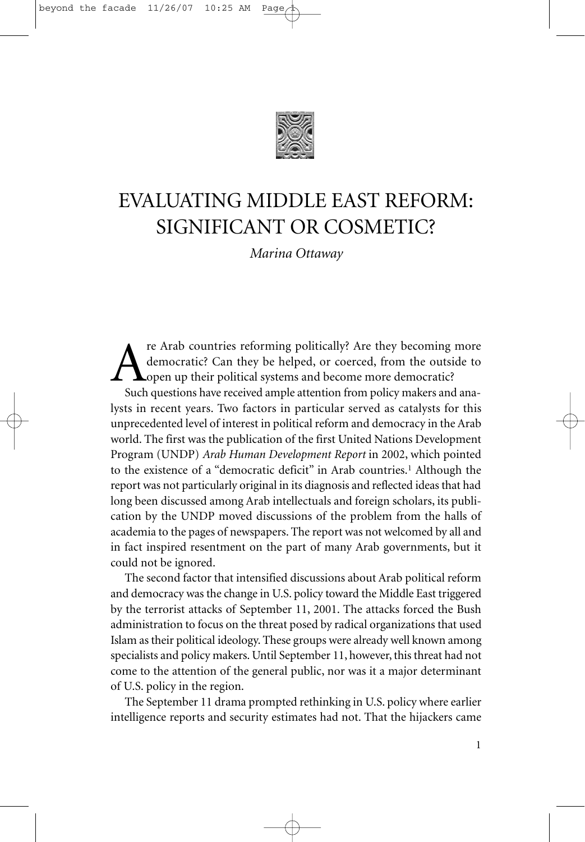

# EVALUATING MIDDLE EAST REFORM: SIGNIFICANT OR COSMETIC?

*Marina Ottaway*

re Arab countries reforming politically? Are they becoming more<br>democratic? Can they be helped, or coerced, from the outside to<br>Such questions have received ample attention from policy makers and anademocratic? Can they be helped, or coerced, from the outside to open up their political systems and become more democratic?

Such questions have received ample attention from policy makers and analysts in recent years. Two factors in particular served as catalysts for this unprecedented level of interest in political reform and democracy in the Arab world. The first was the publication of the first United Nations Development Program (UNDP) *Arab Human Development Report* in 2002, which pointed to the existence of a "democratic deficit" in Arab countries.<sup>1</sup> Although the report was not particularly original in its diagnosis and reflected ideas that had long been discussed among Arab intellectuals and foreign scholars, its publication by the UNDP moved discussions of the problem from the halls of academia to the pages of newspapers. The report was not welcomed by all and in fact inspired resentment on the part of many Arab governments, but it could not be ignored.

The second factor that intensified discussions about Arab political reform and democracy was the change in U.S. policy toward the Middle East triggered by the terrorist attacks of September 11, 2001. The attacks forced the Bush administration to focus on the threat posed by radical organizations that used Islam as their political ideology. These groups were already well known among specialists and policy makers. Until September 11, however, this threat had not come to the attention of the general public, nor was it a major determinant of U.S. policy in the region.

The September 11 drama prompted rethinking in U.S. policy where earlier intelligence reports and security estimates had not. That the hijackers came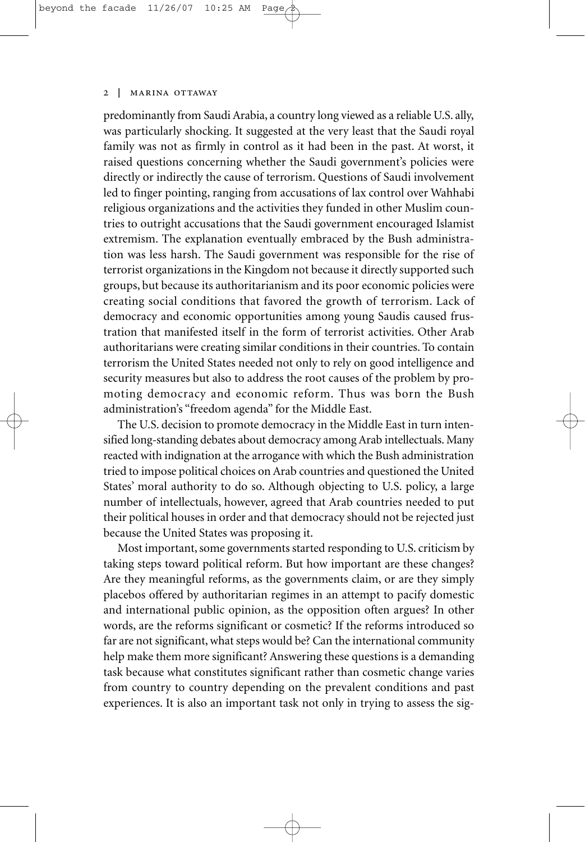predominantly from Saudi Arabia, a country long viewed as a reliable U.S. ally, was particularly shocking. It suggested at the very least that the Saudi royal family was not as firmly in control as it had been in the past. At worst, it raised questions concerning whether the Saudi government's policies were directly or indirectly the cause of terrorism. Questions of Saudi involvement led to finger pointing, ranging from accusations of lax control over Wahhabi religious organizations and the activities they funded in other Muslim countries to outright accusations that the Saudi government encouraged Islamist extremism. The explanation eventually embraced by the Bush administration was less harsh. The Saudi government was responsible for the rise of terrorist organizations in the Kingdom not because it directly supported such groups, but because its authoritarianism and its poor economic policies were creating social conditions that favored the growth of terrorism. Lack of democracy and economic opportunities among young Saudis caused frustration that manifested itself in the form of terrorist activities. Other Arab authoritarians were creating similar conditions in their countries. To contain terrorism the United States needed not only to rely on good intelligence and security measures but also to address the root causes of the problem by promoting democracy and economic reform. Thus was born the Bush administration's "freedom agenda" for the Middle East.

The U.S. decision to promote democracy in the Middle East in turn intensified long-standing debates about democracy among Arab intellectuals. Many reacted with indignation at the arrogance with which the Bush administration tried to impose political choices on Arab countries and questioned the United States' moral authority to do so. Although objecting to U.S. policy, a large number of intellectuals, however, agreed that Arab countries needed to put their political houses in order and that democracy should not be rejected just because the United States was proposing it.

Most important, some governments started responding to U.S. criticism by taking steps toward political reform. But how important are these changes? Are they meaningful reforms, as the governments claim, or are they simply placebos offered by authoritarian regimes in an attempt to pacify domestic and international public opinion, as the opposition often argues? In other words, are the reforms significant or cosmetic? If the reforms introduced so far are not significant, what steps would be? Can the international community help make them more significant? Answering these questions is a demanding task because what constitutes significant rather than cosmetic change varies from country to country depending on the prevalent conditions and past experiences. It is also an important task not only in trying to assess the sig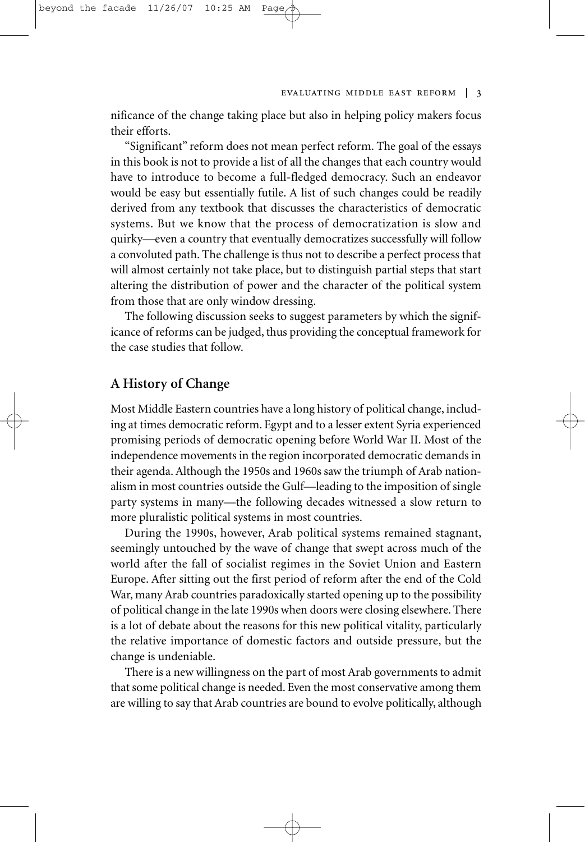nificance of the change taking place but also in helping policy makers focus their efforts.

"Significant" reform does not mean perfect reform. The goal of the essays in this book is not to provide a list of all the changes that each country would have to introduce to become a full-fledged democracy. Such an endeavor would be easy but essentially futile. A list of such changes could be readily derived from any textbook that discusses the characteristics of democratic systems. But we know that the process of democratization is slow and quirky—even a country that eventually democratizes successfully will follow a convoluted path. The challenge is thus not to describe a perfect process that will almost certainly not take place, but to distinguish partial steps that start altering the distribution of power and the character of the political system from those that are only window dressing.

The following discussion seeks to suggest parameters by which the significance of reforms can be judged, thus providing the conceptual framework for the case studies that follow.

### **A History of Change**

Most Middle Eastern countries have a long history of political change, including at times democratic reform. Egypt and to a lesser extent Syria experienced promising periods of democratic opening before World War II. Most of the independence movements in the region incorporated democratic demands in their agenda. Although the 1950s and 1960s saw the triumph of Arab nationalism in most countries outside the Gulf—leading to the imposition of single party systems in many—the following decades witnessed a slow return to more pluralistic political systems in most countries.

During the 1990s, however, Arab political systems remained stagnant, seemingly untouched by the wave of change that swept across much of the world after the fall of socialist regimes in the Soviet Union and Eastern Europe. After sitting out the first period of reform after the end of the Cold War, many Arab countries paradoxically started opening up to the possibility of political change in the late 1990s when doors were closing elsewhere. There is a lot of debate about the reasons for this new political vitality, particularly the relative importance of domestic factors and outside pressure, but the change is undeniable.

There is a new willingness on the part of most Arab governments to admit that some political change is needed. Even the most conservative among them are willing to say that Arab countries are bound to evolve politically, although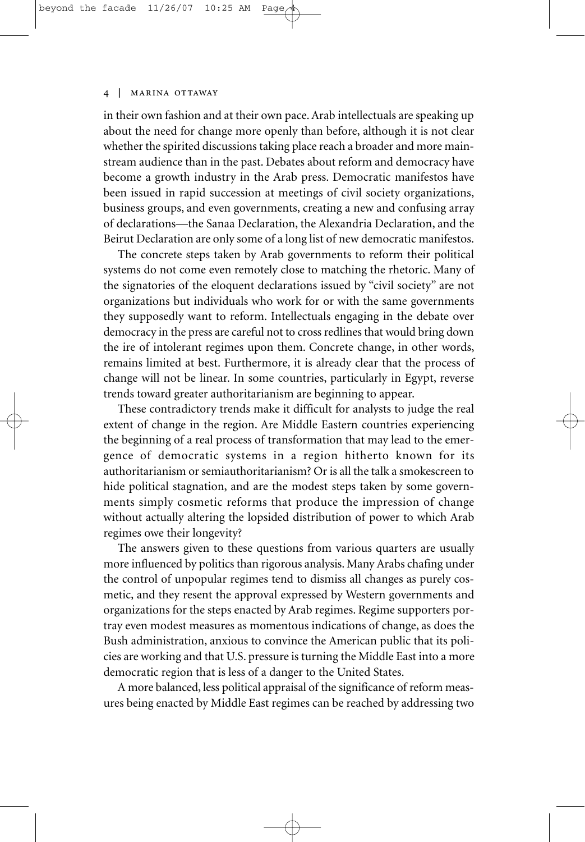in their own fashion and at their own pace. Arab intellectuals are speaking up about the need for change more openly than before, although it is not clear whether the spirited discussions taking place reach a broader and more mainstream audience than in the past. Debates about reform and democracy have become a growth industry in the Arab press. Democratic manifestos have been issued in rapid succession at meetings of civil society organizations, business groups, and even governments, creating a new and confusing array of declarations—the Sanaa Declaration, the Alexandria Declaration, and the Beirut Declaration are only some of a long list of new democratic manifestos.

The concrete steps taken by Arab governments to reform their political systems do not come even remotely close to matching the rhetoric. Many of the signatories of the eloquent declarations issued by "civil society" are not organizations but individuals who work for or with the same governments they supposedly want to reform. Intellectuals engaging in the debate over democracy in the press are careful not to cross redlines that would bring down the ire of intolerant regimes upon them. Concrete change, in other words, remains limited at best. Furthermore, it is already clear that the process of change will not be linear. In some countries, particularly in Egypt, reverse trends toward greater authoritarianism are beginning to appear.

These contradictory trends make it difficult for analysts to judge the real extent of change in the region. Are Middle Eastern countries experiencing the beginning of a real process of transformation that may lead to the emergence of democratic systems in a region hitherto known for its authoritarianism or semiauthoritarianism? Or is all the talk a smokescreen to hide political stagnation, and are the modest steps taken by some governments simply cosmetic reforms that produce the impression of change without actually altering the lopsided distribution of power to which Arab regimes owe their longevity?

The answers given to these questions from various quarters are usually more influenced by politics than rigorous analysis. Many Arabs chafing under the control of unpopular regimes tend to dismiss all changes as purely cosmetic, and they resent the approval expressed by Western governments and organizations for the steps enacted by Arab regimes. Regime supporters portray even modest measures as momentous indications of change, as does the Bush administration, anxious to convince the American public that its policies are working and that U.S. pressure is turning the Middle East into a more democratic region that is less of a danger to the United States.

A more balanced, less political appraisal of the significance of reform measures being enacted by Middle East regimes can be reached by addressing two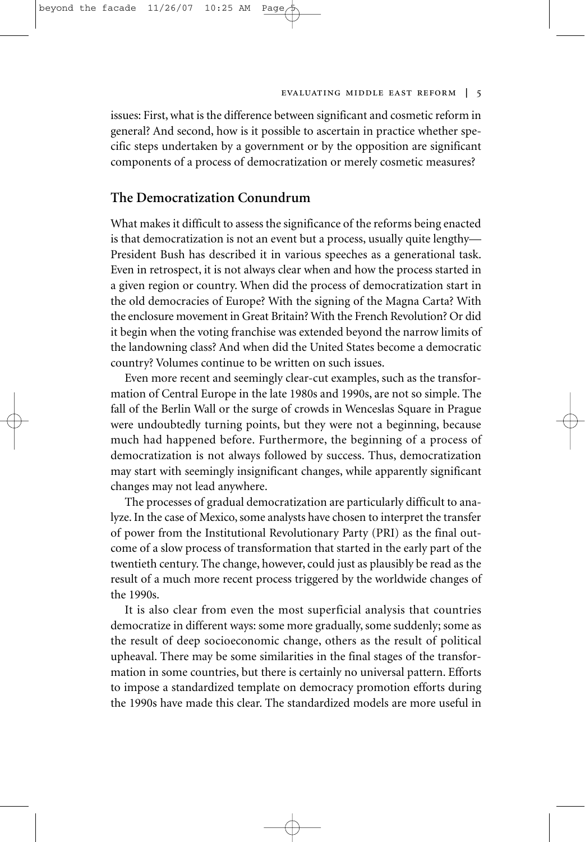issues: First, what is the difference between significant and cosmetic reform in general? And second, how is it possible to ascertain in practice whether specific steps undertaken by a government or by the opposition are significant components of a process of democratization or merely cosmetic measures?

#### **The Democratization Conundrum**

What makes it difficult to assess the significance of the reforms being enacted is that democratization is not an event but a process, usually quite lengthy— President Bush has described it in various speeches as a generational task. Even in retrospect, it is not always clear when and how the process started in a given region or country. When did the process of democratization start in the old democracies of Europe? With the signing of the Magna Carta? With the enclosure movement in Great Britain? With the French Revolution? Or did it begin when the voting franchise was extended beyond the narrow limits of the landowning class? And when did the United States become a democratic country? Volumes continue to be written on such issues.

Even more recent and seemingly clear-cut examples, such as the transformation of Central Europe in the late 1980s and 1990s, are not so simple. The fall of the Berlin Wall or the surge of crowds in Wenceslas Square in Prague were undoubtedly turning points, but they were not a beginning, because much had happened before. Furthermore, the beginning of a process of democratization is not always followed by success. Thus, democratization may start with seemingly insignificant changes, while apparently significant changes may not lead anywhere.

The processes of gradual democratization are particularly difficult to analyze.In the case of Mexico, some analysts have chosen to interpret the transfer of power from the Institutional Revolutionary Party (PRI) as the final outcome of a slow process of transformation that started in the early part of the twentieth century. The change, however, could just as plausibly be read as the result of a much more recent process triggered by the worldwide changes of the 1990s.

It is also clear from even the most superficial analysis that countries democratize in different ways: some more gradually, some suddenly; some as the result of deep socioeconomic change, others as the result of political upheaval. There may be some similarities in the final stages of the transformation in some countries, but there is certainly no universal pattern. Efforts to impose a standardized template on democracy promotion efforts during the 1990s have made this clear. The standardized models are more useful in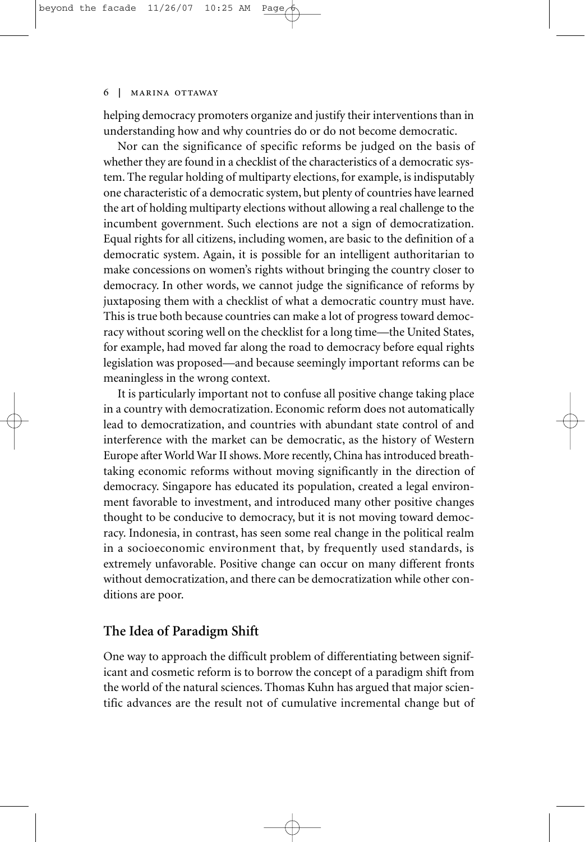helping democracy promoters organize and justify their interventions than in understanding how and why countries do or do not become democratic.

Nor can the significance of specific reforms be judged on the basis of whether they are found in a checklist of the characteristics of a democratic system. The regular holding of multiparty elections, for example, is indisputably one characteristic of a democratic system, but plenty of countries have learned the art of holding multiparty elections without allowing a real challenge to the incumbent government. Such elections are not a sign of democratization. Equal rights for all citizens, including women, are basic to the definition of a democratic system. Again, it is possible for an intelligent authoritarian to make concessions on women's rights without bringing the country closer to democracy. In other words, we cannot judge the significance of reforms by juxtaposing them with a checklist of what a democratic country must have. This is true both because countries can make a lot of progress toward democracy without scoring well on the checklist for a long time—the United States, for example, had moved far along the road to democracy before equal rights legislation was proposed—and because seemingly important reforms can be meaningless in the wrong context.

It is particularly important not to confuse all positive change taking place in a country with democratization. Economic reform does not automatically lead to democratization, and countries with abundant state control of and interference with the market can be democratic, as the history of Western Europe after World War II shows. More recently, China has introduced breathtaking economic reforms without moving significantly in the direction of democracy. Singapore has educated its population, created a legal environment favorable to investment, and introduced many other positive changes thought to be conducive to democracy, but it is not moving toward democracy. Indonesia, in contrast, has seen some real change in the political realm in a socioeconomic environment that, by frequently used standards, is extremely unfavorable. Positive change can occur on many different fronts without democratization, and there can be democratization while other conditions are poor.

## **The Idea of Paradigm Shift**

One way to approach the difficult problem of differentiating between significant and cosmetic reform is to borrow the concept of a paradigm shift from the world of the natural sciences. Thomas Kuhn has argued that major scientific advances are the result not of cumulative incremental change but of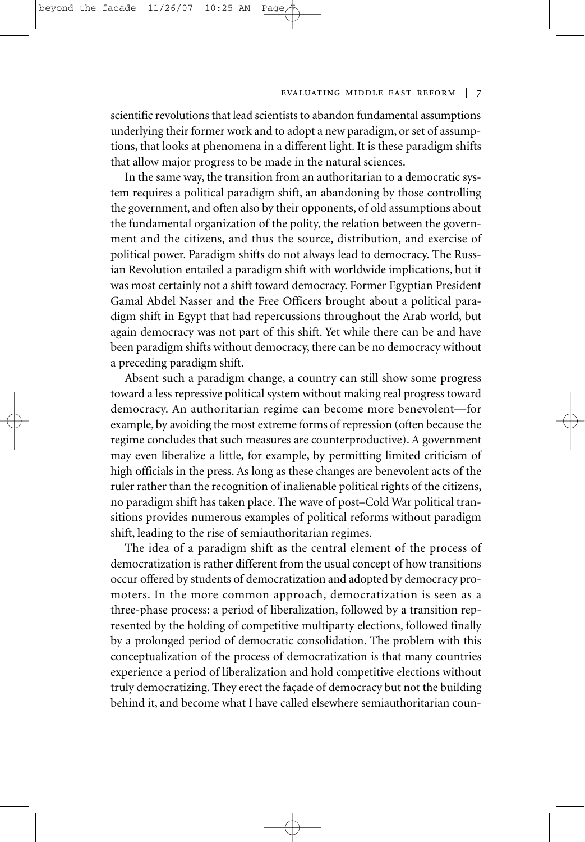scientific revolutions that lead scientists to abandon fundamental assumptions underlying their former work and to adopt a new paradigm, or set of assumptions, that looks at phenomena in a different light. It is these paradigm shifts that allow major progress to be made in the natural sciences.

In the same way, the transition from an authoritarian to a democratic system requires a political paradigm shift, an abandoning by those controlling the government, and often also by their opponents, of old assumptions about the fundamental organization of the polity, the relation between the government and the citizens, and thus the source, distribution, and exercise of political power. Paradigm shifts do not always lead to democracy. The Russian Revolution entailed a paradigm shift with worldwide implications, but it was most certainly not a shift toward democracy. Former Egyptian President Gamal Abdel Nasser and the Free Officers brought about a political paradigm shift in Egypt that had repercussions throughout the Arab world, but again democracy was not part of this shift. Yet while there can be and have been paradigm shifts without democracy, there can be no democracy without a preceding paradigm shift.

Absent such a paradigm change, a country can still show some progress toward a less repressive political system without making real progress toward democracy. An authoritarian regime can become more benevolent—for example, by avoiding the most extreme forms of repression (often because the regime concludes that such measures are counterproductive). A government may even liberalize a little, for example, by permitting limited criticism of high officials in the press. As long as these changes are benevolent acts of the ruler rather than the recognition of inalienable political rights of the citizens, no paradigm shift has taken place. The wave of post–Cold War political transitions provides numerous examples of political reforms without paradigm shift, leading to the rise of semiauthoritarian regimes.

The idea of a paradigm shift as the central element of the process of democratization is rather different from the usual concept of how transitions occur offered by students of democratization and adopted by democracy promoters. In the more common approach, democratization is seen as a three-phase process: a period of liberalization, followed by a transition represented by the holding of competitive multiparty elections, followed finally by a prolonged period of democratic consolidation. The problem with this conceptualization of the process of democratization is that many countries experience a period of liberalization and hold competitive elections without truly democratizing. They erect the façade of democracy but not the building behind it, and become what I have called elsewhere semiauthoritarian coun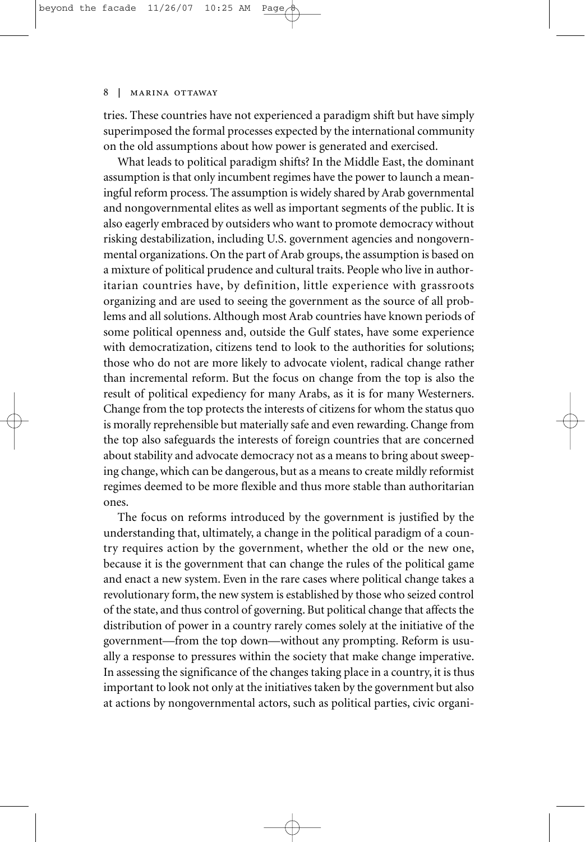tries. These countries have not experienced a paradigm shift but have simply superimposed the formal processes expected by the international community on the old assumptions about how power is generated and exercised.

What leads to political paradigm shifts? In the Middle East, the dominant assumption is that only incumbent regimes have the power to launch a meaningful reform process. The assumption is widely shared by Arab governmental and nongovernmental elites as well as important segments of the public. It is also eagerly embraced by outsiders who want to promote democracy without risking destabilization, including U.S. government agencies and nongovernmental organizations. On the part of Arab groups, the assumption is based on a mixture of political prudence and cultural traits. People who live in authoritarian countries have, by definition, little experience with grassroots organizing and are used to seeing the government as the source of all problems and all solutions. Although most Arab countries have known periods of some political openness and, outside the Gulf states, have some experience with democratization, citizens tend to look to the authorities for solutions; those who do not are more likely to advocate violent, radical change rather than incremental reform. But the focus on change from the top is also the result of political expediency for many Arabs, as it is for many Westerners. Change from the top protects the interests of citizens for whom the status quo is morally reprehensible but materially safe and even rewarding. Change from the top also safeguards the interests of foreign countries that are concerned about stability and advocate democracy not as a means to bring about sweeping change, which can be dangerous, but as a means to create mildly reformist regimes deemed to be more flexible and thus more stable than authoritarian ones.

The focus on reforms introduced by the government is justified by the understanding that, ultimately, a change in the political paradigm of a country requires action by the government, whether the old or the new one, because it is the government that can change the rules of the political game and enact a new system. Even in the rare cases where political change takes a revolutionary form, the new system is established by those who seized control of the state, and thus control of governing. But political change that affects the distribution of power in a country rarely comes solely at the initiative of the government—from the top down—without any prompting. Reform is usually a response to pressures within the society that make change imperative. In assessing the significance of the changes taking place in a country, it is thus important to look not only at the initiatives taken by the government but also at actions by nongovernmental actors, such as political parties, civic organi-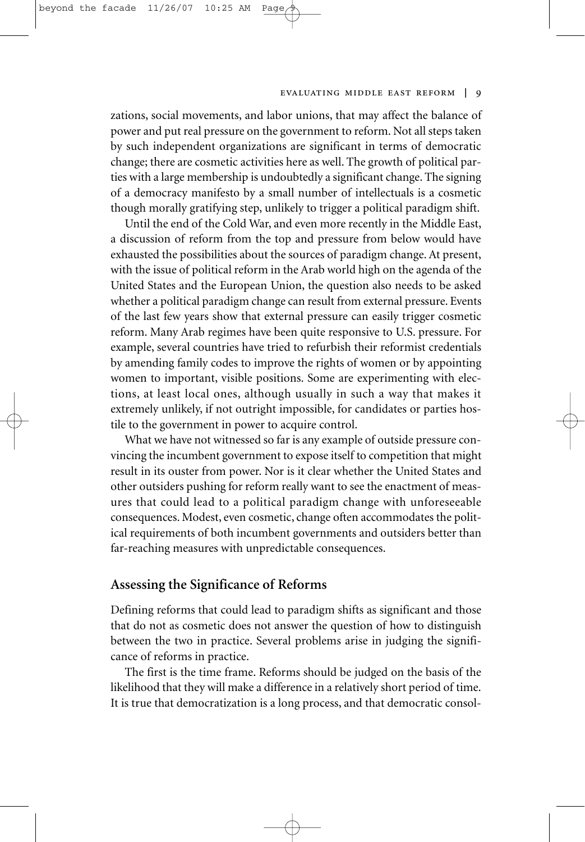zations, social movements, and labor unions, that may affect the balance of power and put real pressure on the government to reform. Not all steps taken by such independent organizations are significant in terms of democratic change; there are cosmetic activities here as well. The growth of political parties with a large membership is undoubtedly a significant change. The signing of a democracy manifesto by a small number of intellectuals is a cosmetic though morally gratifying step, unlikely to trigger a political paradigm shift.

Until the end of the Cold War, and even more recently in the Middle East, a discussion of reform from the top and pressure from below would have exhausted the possibilities about the sources of paradigm change. At present, with the issue of political reform in the Arab world high on the agenda of the United States and the European Union, the question also needs to be asked whether a political paradigm change can result from external pressure. Events of the last few years show that external pressure can easily trigger cosmetic reform. Many Arab regimes have been quite responsive to U.S. pressure. For example, several countries have tried to refurbish their reformist credentials by amending family codes to improve the rights of women or by appointing women to important, visible positions. Some are experimenting with elections, at least local ones, although usually in such a way that makes it extremely unlikely, if not outright impossible, for candidates or parties hostile to the government in power to acquire control.

What we have not witnessed so far is any example of outside pressure convincing the incumbent government to expose itself to competition that might result in its ouster from power. Nor is it clear whether the United States and other outsiders pushing for reform really want to see the enactment of measures that could lead to a political paradigm change with unforeseeable consequences. Modest, even cosmetic, change often accommodates the political requirements of both incumbent governments and outsiders better than far-reaching measures with unpredictable consequences.

## **Assessing the Significance of Reforms**

Defining reforms that could lead to paradigm shifts as significant and those that do not as cosmetic does not answer the question of how to distinguish between the two in practice. Several problems arise in judging the significance of reforms in practice.

The first is the time frame. Reforms should be judged on the basis of the likelihood that they will make a difference in a relatively short period of time. It is true that democratization is a long process, and that democratic consol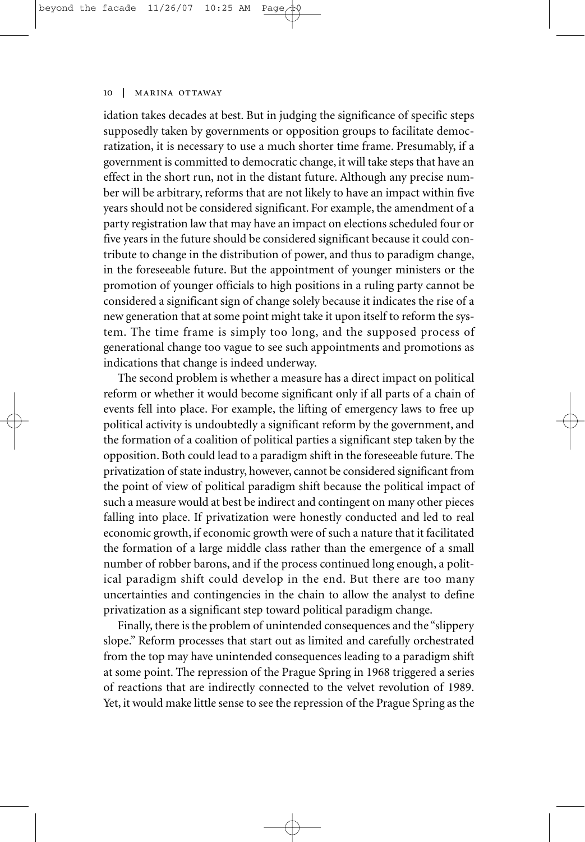idation takes decades at best. But in judging the significance of specific steps supposedly taken by governments or opposition groups to facilitate democratization, it is necessary to use a much shorter time frame. Presumably, if a government is committed to democratic change, it will take steps that have an effect in the short run, not in the distant future. Although any precise number will be arbitrary, reforms that are not likely to have an impact within five years should not be considered significant. For example, the amendment of a party registration law that may have an impact on elections scheduled four or five years in the future should be considered significant because it could contribute to change in the distribution of power, and thus to paradigm change, in the foreseeable future. But the appointment of younger ministers or the promotion of younger officials to high positions in a ruling party cannot be considered a significant sign of change solely because it indicates the rise of a new generation that at some point might take it upon itself to reform the system. The time frame is simply too long, and the supposed process of generational change too vague to see such appointments and promotions as indications that change is indeed underway.

The second problem is whether a measure has a direct impact on political reform or whether it would become significant only if all parts of a chain of events fell into place. For example, the lifting of emergency laws to free up political activity is undoubtedly a significant reform by the government, and the formation of a coalition of political parties a significant step taken by the opposition. Both could lead to a paradigm shift in the foreseeable future. The privatization of state industry, however, cannot be considered significant from the point of view of political paradigm shift because the political impact of such a measure would at best be indirect and contingent on many other pieces falling into place. If privatization were honestly conducted and led to real economic growth, if economic growth were of such a nature that it facilitated the formation of a large middle class rather than the emergence of a small number of robber barons, and if the process continued long enough, a political paradigm shift could develop in the end. But there are too many uncertainties and contingencies in the chain to allow the analyst to define privatization as a significant step toward political paradigm change.

Finally, there is the problem of unintended consequences and the "slippery slope." Reform processes that start out as limited and carefully orchestrated from the top may have unintended consequences leading to a paradigm shift at some point. The repression of the Prague Spring in 1968 triggered a series of reactions that are indirectly connected to the velvet revolution of 1989. Yet, it would make little sense to see the repression of the Prague Spring as the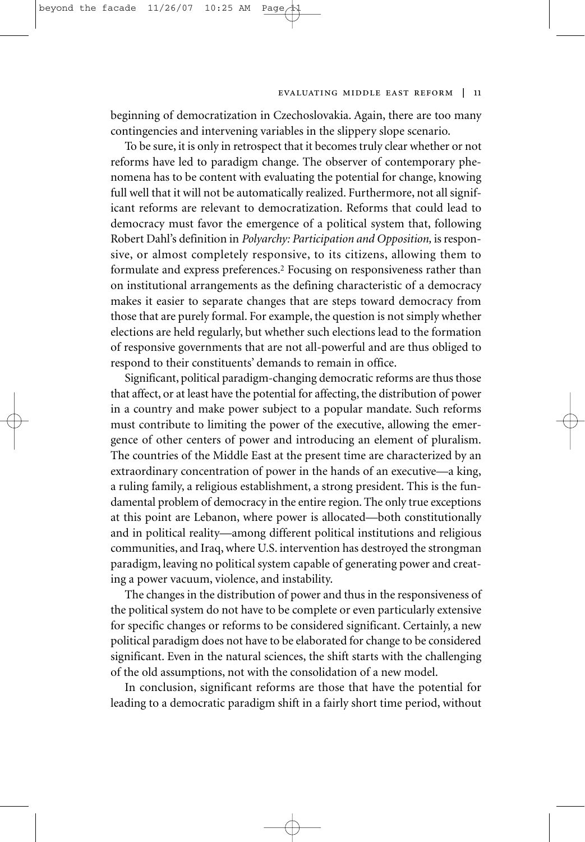beginning of democratization in Czechoslovakia. Again, there are too many contingencies and intervening variables in the slippery slope scenario.

To be sure, it is only in retrospect that it becomes truly clear whether or not reforms have led to paradigm change. The observer of contemporary phenomena has to be content with evaluating the potential for change, knowing full well that it will not be automatically realized. Furthermore, not all significant reforms are relevant to democratization. Reforms that could lead to democracy must favor the emergence of a political system that, following Robert Dahl's definition in *Polyarchy: Participation and Opposition,* is responsive, or almost completely responsive, to its citizens, allowing them to formulate and express preferences.2 Focusing on responsiveness rather than on institutional arrangements as the defining characteristic of a democracy makes it easier to separate changes that are steps toward democracy from those that are purely formal. For example, the question is not simply whether elections are held regularly, but whether such elections lead to the formation of responsive governments that are not all-powerful and are thus obliged to respond to their constituents' demands to remain in office.

Significant, political paradigm-changing democratic reforms are thus those that affect, or at least have the potential for affecting, the distribution of power in a country and make power subject to a popular mandate. Such reforms must contribute to limiting the power of the executive, allowing the emergence of other centers of power and introducing an element of pluralism. The countries of the Middle East at the present time are characterized by an extraordinary concentration of power in the hands of an executive—a king, a ruling family, a religious establishment, a strong president. This is the fundamental problem of democracy in the entire region. The only true exceptions at this point are Lebanon, where power is allocated—both constitutionally and in political reality—among different political institutions and religious communities, and Iraq, where U.S. intervention has destroyed the strongman paradigm, leaving no political system capable of generating power and creating a power vacuum, violence, and instability.

The changes in the distribution of power and thus in the responsiveness of the political system do not have to be complete or even particularly extensive for specific changes or reforms to be considered significant. Certainly, a new political paradigm does not have to be elaborated for change to be considered significant. Even in the natural sciences, the shift starts with the challenging of the old assumptions, not with the consolidation of a new model.

In conclusion, significant reforms are those that have the potential for leading to a democratic paradigm shift in a fairly short time period, without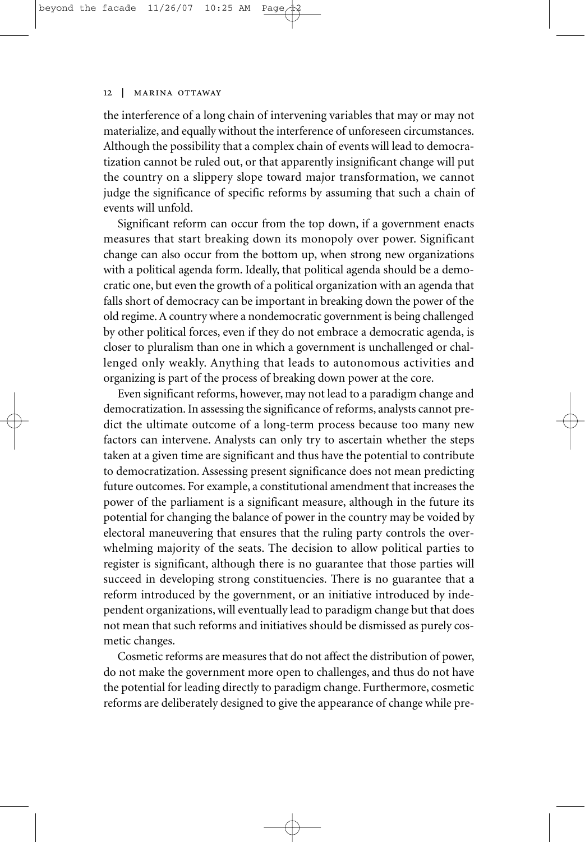the interference of a long chain of intervening variables that may or may not materialize, and equally without the interference of unforeseen circumstances. Although the possibility that a complex chain of events will lead to democratization cannot be ruled out, or that apparently insignificant change will put the country on a slippery slope toward major transformation, we cannot judge the significance of specific reforms by assuming that such a chain of events will unfold.

Significant reform can occur from the top down, if a government enacts measures that start breaking down its monopoly over power. Significant change can also occur from the bottom up, when strong new organizations with a political agenda form. Ideally, that political agenda should be a democratic one, but even the growth of a political organization with an agenda that falls short of democracy can be important in breaking down the power of the old regime. A country where a nondemocratic government is being challenged by other political forces, even if they do not embrace a democratic agenda, is closer to pluralism than one in which a government is unchallenged or challenged only weakly. Anything that leads to autonomous activities and organizing is part of the process of breaking down power at the core.

Even significant reforms, however, may not lead to a paradigm change and democratization. In assessing the significance of reforms, analysts cannot predict the ultimate outcome of a long-term process because too many new factors can intervene. Analysts can only try to ascertain whether the steps taken at a given time are significant and thus have the potential to contribute to democratization. Assessing present significance does not mean predicting future outcomes. For example, a constitutional amendment that increases the power of the parliament is a significant measure, although in the future its potential for changing the balance of power in the country may be voided by electoral maneuvering that ensures that the ruling party controls the overwhelming majority of the seats. The decision to allow political parties to register is significant, although there is no guarantee that those parties will succeed in developing strong constituencies. There is no guarantee that a reform introduced by the government, or an initiative introduced by independent organizations, will eventually lead to paradigm change but that does not mean that such reforms and initiatives should be dismissed as purely cosmetic changes.

Cosmetic reforms are measures that do not affect the distribution of power, do not make the government more open to challenges, and thus do not have the potential for leading directly to paradigm change. Furthermore, cosmetic reforms are deliberately designed to give the appearance of change while pre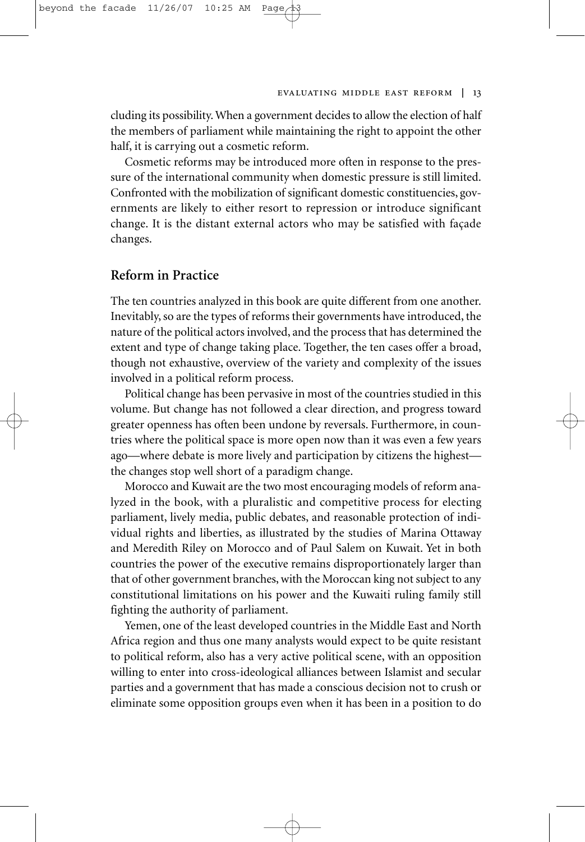cluding its possibility. When a government decides to allow the election of half the members of parliament while maintaining the right to appoint the other half, it is carrying out a cosmetic reform.

Cosmetic reforms may be introduced more often in response to the pressure of the international community when domestic pressure is still limited. Confronted with the mobilization of significant domestic constituencies, governments are likely to either resort to repression or introduce significant change. It is the distant external actors who may be satisfied with façade changes.

#### **Reform in Practice**

The ten countries analyzed in this book are quite different from one another. Inevitably, so are the types of reforms their governments have introduced, the nature of the political actors involved, and the process that has determined the extent and type of change taking place. Together, the ten cases offer a broad, though not exhaustive, overview of the variety and complexity of the issues involved in a political reform process.

Political change has been pervasive in most of the countries studied in this volume. But change has not followed a clear direction, and progress toward greater openness has often been undone by reversals. Furthermore, in countries where the political space is more open now than it was even a few years ago—where debate is more lively and participation by citizens the highest the changes stop well short of a paradigm change.

Morocco and Kuwait are the two most encouraging models of reform analyzed in the book, with a pluralistic and competitive process for electing parliament, lively media, public debates, and reasonable protection of individual rights and liberties, as illustrated by the studies of Marina Ottaway and Meredith Riley on Morocco and of Paul Salem on Kuwait. Yet in both countries the power of the executive remains disproportionately larger than that of other government branches, with the Moroccan king not subject to any constitutional limitations on his power and the Kuwaiti ruling family still fighting the authority of parliament.

Yemen, one of the least developed countries in the Middle East and North Africa region and thus one many analysts would expect to be quite resistant to political reform, also has a very active political scene, with an opposition willing to enter into cross-ideological alliances between Islamist and secular parties and a government that has made a conscious decision not to crush or eliminate some opposition groups even when it has been in a position to do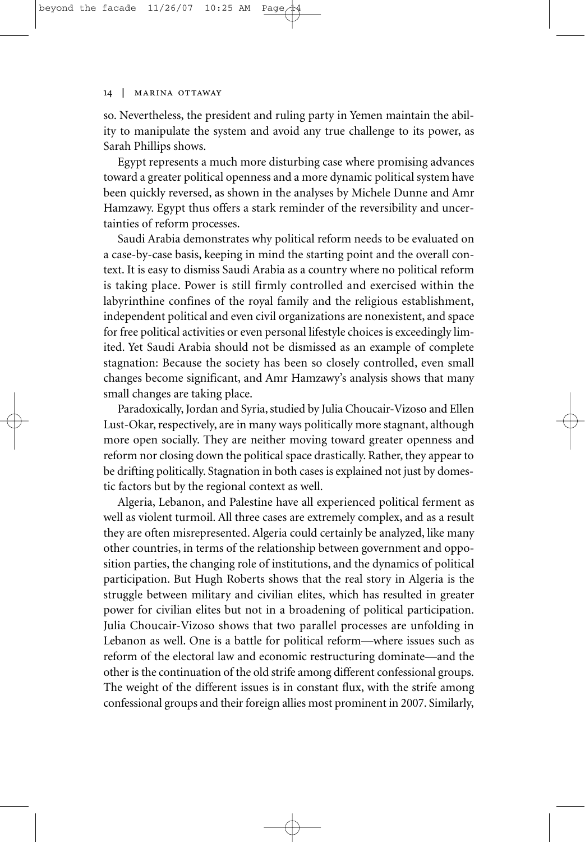so. Nevertheless, the president and ruling party in Yemen maintain the ability to manipulate the system and avoid any true challenge to its power, as Sarah Phillips shows.

Egypt represents a much more disturbing case where promising advances toward a greater political openness and a more dynamic political system have been quickly reversed, as shown in the analyses by Michele Dunne and Amr Hamzawy. Egypt thus offers a stark reminder of the reversibility and uncertainties of reform processes.

Saudi Arabia demonstrates why political reform needs to be evaluated on a case-by-case basis, keeping in mind the starting point and the overall context. It is easy to dismiss Saudi Arabia as a country where no political reform is taking place. Power is still firmly controlled and exercised within the labyrinthine confines of the royal family and the religious establishment, independent political and even civil organizations are nonexistent, and space for free political activities or even personal lifestyle choices is exceedingly limited. Yet Saudi Arabia should not be dismissed as an example of complete stagnation: Because the society has been so closely controlled, even small changes become significant, and Amr Hamzawy's analysis shows that many small changes are taking place.

Paradoxically, Jordan and Syria, studied by Julia Choucair-Vizoso and Ellen Lust-Okar, respectively, are in many ways politically more stagnant, although more open socially. They are neither moving toward greater openness and reform nor closing down the political space drastically. Rather, they appear to be drifting politically. Stagnation in both cases is explained not just by domestic factors but by the regional context as well.

Algeria, Lebanon, and Palestine have all experienced political ferment as well as violent turmoil. All three cases are extremely complex, and as a result they are often misrepresented. Algeria could certainly be analyzed, like many other countries, in terms of the relationship between government and opposition parties, the changing role of institutions, and the dynamics of political participation. But Hugh Roberts shows that the real story in Algeria is the struggle between military and civilian elites, which has resulted in greater power for civilian elites but not in a broadening of political participation. Julia Choucair-Vizoso shows that two parallel processes are unfolding in Lebanon as well. One is a battle for political reform—where issues such as reform of the electoral law and economic restructuring dominate—and the other is the continuation of the old strife among different confessional groups. The weight of the different issues is in constant flux, with the strife among confessional groups and their foreign allies most prominent in 2007. Similarly,